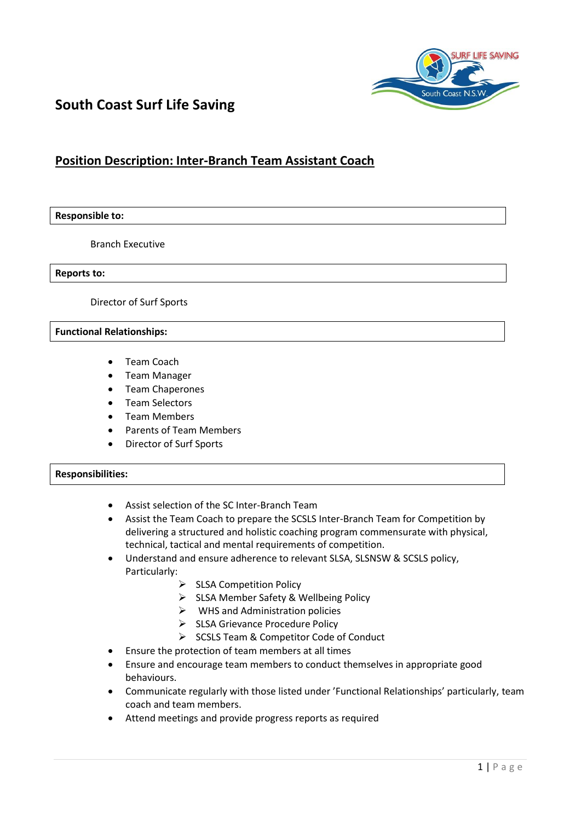

# **South Coast Surf Life Saving**

# **Position Description: Inter-Branch Team Assistant Coach**

#### **Responsible to:**

Branch Executive

**Reports to:**

Director of Surf Sports

#### **Functional Relationships:**

- Team Coach
- Team Manager
- Team Chaperones
- Team Selectors
- Team Members
- Parents of Team Members
- Director of Surf Sports

## **Responsibilities:**

- Assist selection of the SC Inter-Branch Team
- Assist the Team Coach to prepare the SCSLS Inter-Branch Team for Competition by delivering a structured and holistic coaching program commensurate with physical, technical, tactical and mental requirements of competition.
- Understand and ensure adherence to relevant SLSA, SLSNSW & SCSLS policy, Particularly:
	- $\triangleright$  SLSA Competition Policy
	- > SLSA Member Safety & Wellbeing Policy
	- $\triangleright$  WHS and Administration policies
	- $\triangleright$  SLSA Grievance Procedure Policy
	- $\triangleright$  SCSLS Team & Competitor Code of Conduct
- Ensure the protection of team members at all times
- Ensure and encourage team members to conduct themselves in appropriate good behaviours.
- Communicate regularly with those listed under 'Functional Relationships' particularly, team coach and team members.
- Attend meetings and provide progress reports as required